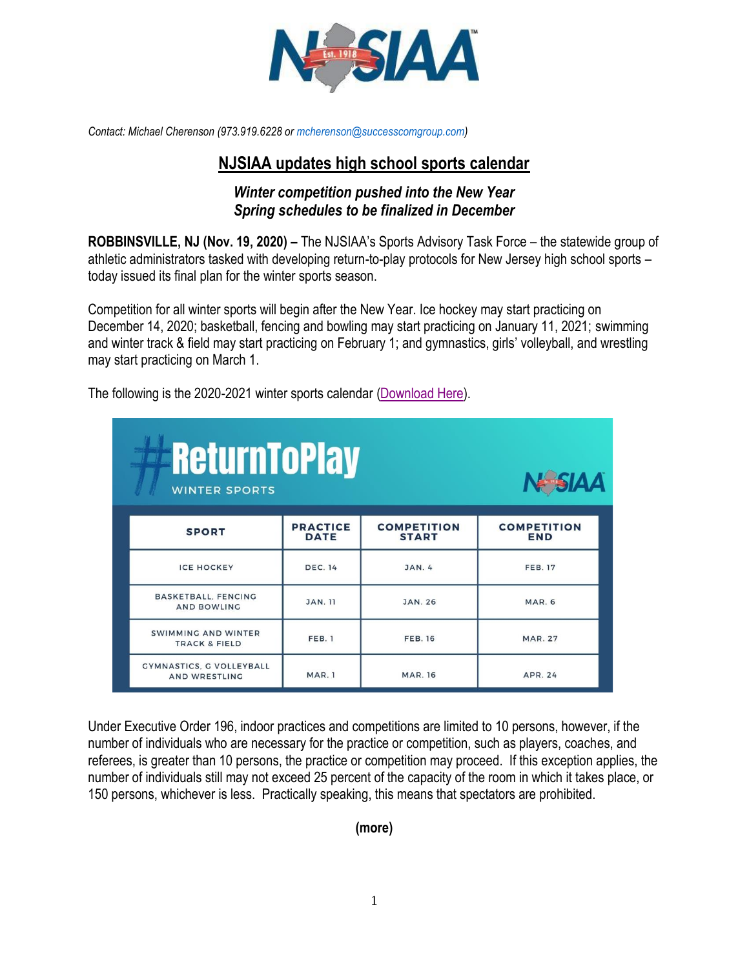

*Contact: Michael Cherenson (973.919.6228 o[r mcherenson@successcomgroup.com\)](mailto:mcherenson@successcomgroup.com)*

## **NJSIAA updates high school sports calendar**

## *Winter competition pushed into the New Year Spring schedules to be finalized in December*

**ROBBINSVILLE, NJ (Nov. 19, 2020) –** The NJSIAA's Sports Advisory Task Force – the statewide group of athletic administrators tasked with developing return-to-play protocols for New Jersey high school sports – today issued its final plan for the winter sports season.

Competition for all winter sports will begin after the New Year. Ice hockey may start practicing on December 14, 2020; basketball, fencing and bowling may start practicing on January 11, 2021; swimming and winter track & field may start practicing on February 1; and gymnastics, girls' volleyball, and wrestling may start practicing on March 1.

| <b>ReturnToPlay</b><br><b>V-SIAA</b><br><b>WINTER SPORTS</b> |                                |                                    |                                  |  |
|--------------------------------------------------------------|--------------------------------|------------------------------------|----------------------------------|--|
| <b>SPORT</b>                                                 | <b>PRACTICE</b><br><b>DATE</b> | <b>COMPETITION</b><br><b>START</b> | <b>COMPETITION</b><br><b>END</b> |  |
| <b>ICE HOCKEY</b>                                            | <b>DEC. 14</b>                 | JAN. 4                             | <b>FEB. 17</b>                   |  |
| <b>BASKETBALL, FENCING</b><br><b>AND BOWLING</b>             | <b>JAN. 11</b>                 | <b>JAN. 26</b>                     | <b>MAR. 6</b>                    |  |
| <b>SWIMMING AND WINTER</b><br><b>TRACK &amp; FIELD</b>       | FEB. 1                         | <b>FEB. 16</b>                     | <b>MAR. 27</b>                   |  |
| <b>GYMNASTICS, G VOLLEYBALL</b><br><b>AND WRESTLING</b>      | MAR.1                          | <b>MAR. 16</b>                     | <b>APR. 24</b>                   |  |

The following is the 2020-2021 winter sports calendar [\(Download Here\)](https://drive.google.com/file/d/1vQlGVkVZQqGmozY0bz1dnhT996z2Xd9Q/view?usp=sharing).

Under Executive Order 196, indoor practices and competitions are limited to 10 persons, however, if the number of individuals who are necessary for the practice or competition, such as players, coaches, and referees, is greater than 10 persons, the practice or competition may proceed. If this exception applies, the number of individuals still may not exceed 25 percent of the capacity of the room in which it takes place, or 150 persons, whichever is less. Practically speaking, this means that spectators are prohibited.

**(more)**